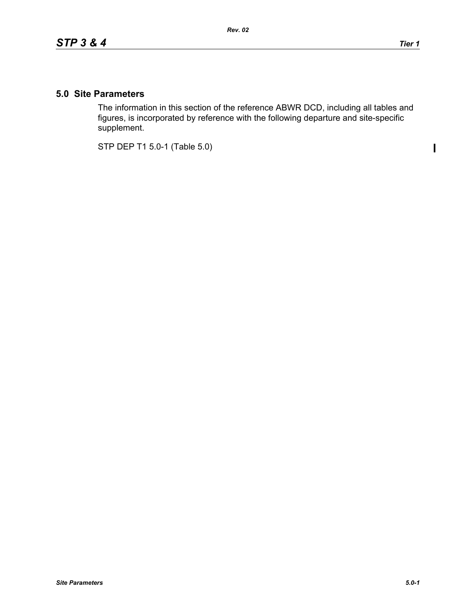$\mathbf I$ 

## **5.0 Site Parameters**

The information in this section of the reference ABWR DCD, including all tables and figures, is incorporated by reference with the following departure and site-specific supplement.

STP DEP T1 5.0-1 (Table 5.0)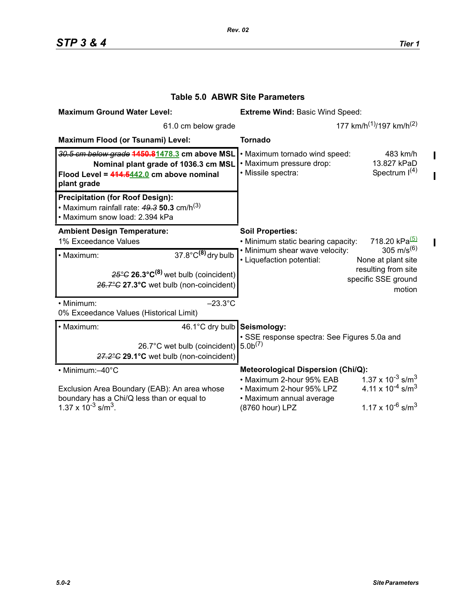$\mathbf{I}$ 

 $\mathbf{I}$ 

 $\begin{array}{c} \hline \end{array}$ 

| <b>Maximum Ground Water Level:</b>                                                                                                                                         | <b>Extreme Wind: Basic Wind Speed:</b>                                                                                                                                                                                    |
|----------------------------------------------------------------------------------------------------------------------------------------------------------------------------|---------------------------------------------------------------------------------------------------------------------------------------------------------------------------------------------------------------------------|
| 61.0 cm below grade                                                                                                                                                        | 177 km/h <sup>(1)</sup> /197 km/h <sup>(2)</sup>                                                                                                                                                                          |
| <b>Maximum Flood (or Tsunami) Level:</b>                                                                                                                                   | <b>Tornado</b>                                                                                                                                                                                                            |
| 30.5 cm below grade 1450.81478.3 cm above MSL<br>Nominal plant grade of 1036.3 cm MSL<br>Flood Level = $414.5442.0$ cm above nominal<br>plant grade                        | . Maximum tornado wind speed:<br>483 km/h<br>• Maximum pressure drop:<br>13.827 kPaD<br>Spectrum $I(4)$<br>· Missile spectra:                                                                                             |
| <b>Precipitation (for Roof Design):</b><br>• Maximum rainfall rate: $49.3$ 50.3 cm/h <sup>(3)</sup><br>· Maximum snow load: 2.394 kPa                                      |                                                                                                                                                                                                                           |
| <b>Ambient Design Temperature:</b>                                                                                                                                         | <b>Soil Properties:</b>                                                                                                                                                                                                   |
| 1% Exceedance Values                                                                                                                                                       | 718.20 kPa <sup>(5)</sup><br>• Minimum static bearing capacity:                                                                                                                                                           |
| $\overline{37.8^{\circ}}$ C <sup>(8)</sup> dry bulb<br>· Maximum:<br>$25^{\circ}$ C 26.3°C <sup>(8)</sup> wet bulb (coincident)<br>26.7°C 27.3°C wet bulb (non-coincident) | 305 m/s <sup>(6)</sup><br>• Minimum shear wave velocity:<br>• Liquefaction potential:<br>None at plant site<br>resulting from site<br>specific SSE ground<br>motion                                                       |
| $-23.3^{\circ}$ C<br>• Minimum:                                                                                                                                            |                                                                                                                                                                                                                           |
| 0% Exceedance Values (Historical Limit)                                                                                                                                    |                                                                                                                                                                                                                           |
| · Maximum:<br>46.1°C dry bulb Seismology:<br>26.7°C wet bulb (coincident) 5.0b <sup>(7)</sup><br>27.2°C 29.1°C wet bulb (non-coincident)                                   | · SSE response spectra: See Figures 5.0a and                                                                                                                                                                              |
| • Minimum:-40°C                                                                                                                                                            | <b>Meteorological Dispersion (Chi/Q):</b>                                                                                                                                                                                 |
| Exclusion Area Boundary (EAB): An area whose<br>boundary has a Chi/Q less than or equal to<br>1.37 x $10^{-3}$ s/m <sup>3</sup> .                                          | 1.37 x 10 <sup>-3</sup> s/m <sup>3</sup><br>• Maximum 2-hour 95% EAB<br>4.11 x $10^{-4}$ s/m <sup>3</sup><br>• Maximum 2-hour 95% LPZ<br>• Maximum annual average<br>1.17 x $10^{-6}$ s/m <sup>3</sup><br>(8760 hour) LPZ |

## **Table 5.0 ABWR Site Parameters**